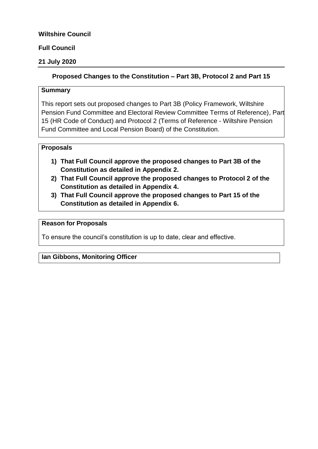### **Wiltshire Council**

### **Full Council**

### **21 July 2020**

### **Proposed Changes to the Constitution – Part 3B, Protocol 2 and Part 15**

#### **Summary**

This report sets out proposed changes to Part 3B (Policy Framework, Wiltshire Pension Fund Committee and Electoral Review Committee Terms of Reference), Part 15 (HR Code of Conduct) and Protocol 2 (Terms of Reference - Wiltshire Pension Fund Committee and Local Pension Board) of the Constitution.

#### **Proposals**

- **1) That Full Council approve the proposed changes to Part 3B of the Constitution as detailed in Appendix 2.**
- **2) That Full Council approve the proposed changes to Protocol 2 of the Constitution as detailed in Appendix 4.**
- **3) That Full Council approve the proposed changes to Part 15 of the Constitution as detailed in Appendix 6.**

#### **Reason for Proposals**

To ensure the council's constitution is up to date, clear and effective.

#### **Ian Gibbons, Monitoring Officer**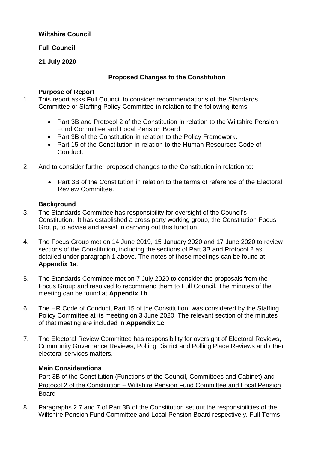### **Wiltshire Council**

#### **Full Council**

### **21 July 2020**

#### **Proposed Changes to the Constitution**

#### **Purpose of Report**

- 1. This report asks Full Council to consider recommendations of the Standards Committee or Staffing Policy Committee in relation to the following items:
	- Part 3B and Protocol 2 of the Constitution in relation to the Wiltshire Pension Fund Committee and Local Pension Board.
	- Part 3B of the Constitution in relation to the Policy Framework.
	- Part 15 of the Constitution in relation to the Human Resources Code of Conduct.
- 2. And to consider further proposed changes to the Constitution in relation to:
	- Part 3B of the Constitution in relation to the terms of reference of the Electoral Review Committee.

#### **Background**

- 3. The Standards Committee has responsibility for oversight of the Council's Constitution. It has established a cross party working group, the Constitution Focus Group, to advise and assist in carrying out this function.
- 4. The Focus Group met on 14 June 2019, 15 January 2020 and 17 June 2020 to review sections of the Constitution, including the sections of Part 3B and Protocol 2 as detailed under paragraph 1 above. The notes of those meetings can be found at **Appendix 1a**.
- 5. The Standards Committee met on 7 July 2020 to consider the proposals from the Focus Group and resolved to recommend them to Full Council. The minutes of the meeting can be found at **Appendix 1b**.
- 6. The HR Code of Conduct, Part 15 of the Constitution, was considered by the Staffing Policy Committee at its meeting on 3 June 2020. The relevant section of the minutes of that meeting are included in **Appendix 1c**.
- 7. The Electoral Review Committee has responsibility for oversight of Electoral Reviews, Community Governance Reviews, Polling District and Polling Place Reviews and other electoral services matters.

#### **Main Considerations**

Part 3B of the Constitution (Functions of the Council, Committees and Cabinet) and Protocol 2 of the Constitution – Wiltshire Pension Fund Committee and Local Pension Board

8. Paragraphs 2.7 and 7 of Part 3B of the Constitution set out the responsibilities of the Wiltshire Pension Fund Committee and Local Pension Board respectively. Full Terms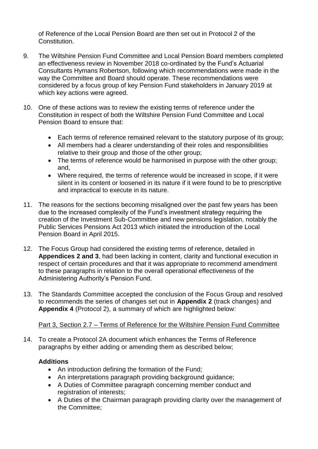of Reference of the Local Pension Board are then set out in Protocol 2 of the Constitution.

- 9. The Wiltshire Pension Fund Committee and Local Pension Board members completed an effectiveness review in November 2018 co-ordinated by the Fund's Actuarial Consultants Hymans Robertson, following which recommendations were made in the way the Committee and Board should operate. These recommendations were considered by a focus group of key Pension Fund stakeholders in January 2019 at which key actions were agreed.
- 10. One of these actions was to review the existing terms of reference under the Constitution in respect of both the Wiltshire Pension Fund Committee and Local Pension Board to ensure that:
	- Each terms of reference remained relevant to the statutory purpose of its group;
	- All members had a clearer understanding of their roles and responsibilities relative to their group and those of the other group;
	- The terms of reference would be harmonised in purpose with the other group; and,
	- Where required, the terms of reference would be increased in scope, if it were silent in its content or loosened in its nature if it were found to be to prescriptive and impractical to execute in its nature.
- 11. The reasons for the sections becoming misaligned over the past few years has been due to the increased complexity of the Fund's investment strategy requiring the creation of the Investment Sub-Committee and new pensions legislation, notably the Public Services Pensions Act 2013 which initiated the introduction of the Local Pension Board in April 2015.
- 12. The Focus Group had considered the existing terms of reference, detailed in **Appendices 2 and 3**, had been lacking in content, clarity and functional execution in respect of certain procedures and that it was appropriate to recommend amendment to these paragraphs in relation to the overall operational effectiveness of the Administering Authority's Pension Fund.
- 13. The Standards Committee accepted the conclusion of the Focus Group and resolved to recommends the series of changes set out in **Appendix 2** (track changes) and **Appendix 4** (Protocol 2), a summary of which are highlighted below:

## Part 3, Section 2.7 – Terms of Reference for the Wiltshire Pension Fund Committee

14. To create a Protocol 2A document which enhances the Terms of Reference paragraphs by either adding or amending them as described below;

## **Additions**

- An introduction defining the formation of the Fund;
- An interpretations paragraph providing background guidance;
- A Duties of Committee paragraph concerning member conduct and registration of interests;
- A Duties of the Chairman paragraph providing clarity over the management of the Committee;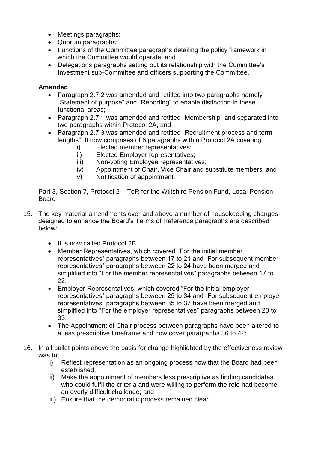- Meetings paragraphs;
- Quorum paragraphs;
- Functions of the Committee paragraphs detailing the policy framework in which the Committee would operate; and
- Delegations paragraphs setting out its relationship with the Committee's Investment sub-Committee and officers supporting the Committee.

## **Amended**

- Paragraph 2.7.2 was amended and retitled into two paragraphs namely "Statement of purpose" and "Reporting" to enable distinction in these functional areas;
- Paragraph 2.7.1 was amended and retitled "Membership" and separated into two paragraphs within Protocol 2A; and
- Paragraph 2.7.3 was amended and retitled "Recruitment process and term lengths". It now comprises of 8 paragraphs within Protocol 2A covering.
	- i) Elected member representatives;
	- ii) Elected Employer representatives;
	- iii) Non-voting Employee representatives;
	- iv) Appointment of Chair, Vice Chair and substitute members; and
	- v) Notification of appointment.

## Part 3, Section 7, Protocol 2 – ToR for the Wiltshire Pension Fund, Local Pension Board

- 15. The key material amendments over and above a number of housekeeping changes designed to enhance the Board's Terms of Reference paragraphs are described below:
	- It is now called Protocol 2B:
	- Member Representatives, which covered "For the initial member representatives" paragraphs between 17 to 21 and "For subsequent member representatives" paragraphs between 22 to 24 have been merged and simplified into "For the member representatives" paragraphs between 17 to 22;
	- Employer Representatives, which covered "For the initial employer representatives" paragraphs between 25 to 34 and "For subsequent employer representatives" paragraphs between 35 to 37 have been merged and simplified into "For the employer representatives" paragraphs between 23 to 33;
	- The Appointment of Chair process between paragraphs have been altered to a less prescriptive timeframe and now cover paragraphs 36 to 42;
- 16. In all bullet points above the basis for change highlighted by the effectiveness review was to;
	- i) Reflect representation as an ongoing process now that the Board had been established;
	- ii) Make the appointment of members less prescriptive as finding candidates who could fulfil the criteria and were willing to perform the role had become an overly difficult challenge; and
	- iii) Ensure that the democratic process remained clear.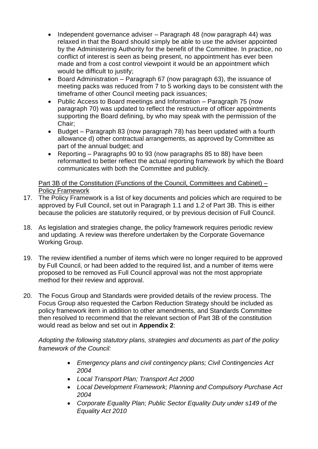- Independent governance adviser Paragraph 48 (now paragraph 44) was relaxed in that the Board should simply be able to use the adviser appointed by the Administering Authority for the benefit of the Committee. In practice, no conflict of interest is seen as being present, no appointment has ever been made and from a cost control viewpoint it would be an appointment which would be difficult to justify;
- Board Administration Paragraph 67 (now paragraph 63), the issuance of meeting packs was reduced from 7 to 5 working days to be consistent with the timeframe of other Council meeting pack issuances;
- Public Access to Board meetings and Information Paragraph 75 (now paragraph 70) was updated to reflect the restructure of officer appointments supporting the Board defining, by who may speak with the permission of the Chair;
- Budget Paragraph 83 (now paragraph 78) has been updated with a fourth allowance d) other contractual arrangements, as approved by Committee as part of the annual budget; and
- Reporting Paragraphs 90 to 93 (now paragraphs 85 to 88) have been reformatted to better reflect the actual reporting framework by which the Board communicates with both the Committee and publicly.

Part 3B of the Constitution (Functions of the Council, Committees and Cabinet) – Policy Framework

- 17. The Policy Framework is a list of key documents and policies which are required to be approved by Full Council, set out in Paragraph 1.1 and 1.2 of Part 3B. This is either because the policies are statutorily required, or by previous decision of Full Council.
- 18. As legislation and strategies change, the policy framework requires periodic review and updating. A review was therefore undertaken by the Corporate Governance Working Group.
- 19. The review identified a number of items which were no longer required to be approved by Full Council, or had been added to the required list, and a number of items were proposed to be removed as Full Council approval was not the most appropriate method for their review and approval.
- 20. The Focus Group and Standards were provided details of the review process. The Focus Group also requested the Carbon Reduction Strategy should be included as policy framework item in addition to other amendments, and Standards Committee then resolved to recommend that the relevant section of Part 3B of the constitution would read as below and set out in **Appendix 2**:

*Adopting the following statutory plans, strategies and documents as part of the policy framework of the Council:*

- *Emergency plans and civil contingency plans; Civil Contingencies Act 2004*
- *Local Transport Plan; Transport Act 2000*
- *Local Development Framework; Planning and Compulsory Purchase Act 2004*
- *Corporate Equality Plan; Public Sector Equality Duty under s149 of the Equality Act 2010*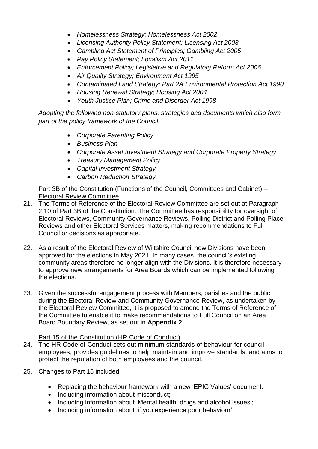- *Homelessness Strategy; Homelessness Act 2002*
- *Licensing Authority Policy Statement; Licensing Act 2003*
- *Gambling Act Statement of Principles; Gambling Act 2005*
- *Pay Policy Statement; Localism Act 2011*
- *Enforcement Policy; Legislative and Regulatory Reform Act 2006*
- *Air Quality Strategy; Environment Act 1995*
- *Contaminated Land Strategy; Part 2A Environmental Protection Act 1990*
- *Housing Renewal Strategy; Housing Act 2004*
- *Youth Justice Plan; Crime and Disorder Act 1998*

*Adopting the following non-statutory plans, strategies and documents which also form part of the policy framework of the Council:*

- *Corporate Parenting Policy*
- *Business Plan*
- *Corporate Asset Investment Strategy and Corporate Property Strategy*
- *Treasury Management Policy*
- *Capital Investment Strategy*
- *Carbon Reduction Strategy*

Part 3B of the Constitution (Functions of the Council, Committees and Cabinet) – Electoral Review Committee

- 21. The Terms of Reference of the Electoral Review Committee are set out at Paragraph 2.10 of Part 3B of the Constitution. The Committee has responsibility for oversight of Electoral Reviews, Community Governance Reviews, Polling District and Polling Place Reviews and other Electoral Services matters, making recommendations to Full Council or decisions as appropriate.
- 22. As a result of the Electoral Review of Wiltshire Council new Divisions have been approved for the elections in May 2021. In many cases, the council's existing community areas therefore no longer align with the Divisions. It is therefore necessary to approve new arrangements for Area Boards which can be implemented following the elections.
- 23. Given the successful engagement process with Members, parishes and the public during the Electoral Review and Community Governance Review, as undertaken by the Electoral Review Committee, it is proposed to amend the Terms of Reference of the Committee to enable it to make recommendations to Full Council on an Area Board Boundary Review, as set out in **Appendix 2**.

## Part 15 of the Constitution (HR Code of Conduct)

- 24. The HR Code of Conduct sets out minimum standards of behaviour for council employees, provides guidelines to help maintain and improve standards, and aims to protect the reputation of both employees and the council.
- 25. Changes to Part 15 included:
	- Replacing the behaviour framework with a new 'EPIC Values' document.
	- Including information about misconduct:
	- Including information about 'Mental health, drugs and alcohol issues';
	- Including information about 'if you experience poor behaviour';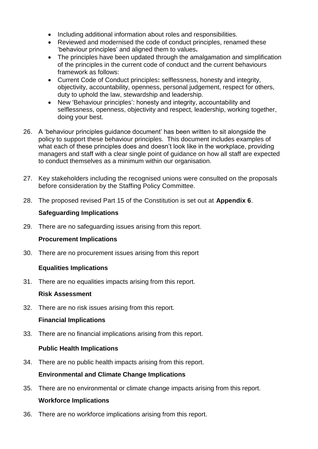- Including additional information about roles and responsibilities.
- Reviewed and modernised the code of conduct principles, renamed these 'behaviour principles' and aligned them to values**.**
- The principles have been updated through the amalgamation and simplification of the principles in the current code of conduct and the current behaviours framework as follows:
- Current Code of Conduct principles**:** selflessness, honesty and integrity, objectivity, accountability, openness, personal judgement, respect for others, duty to uphold the law, stewardship and leadership.
- New 'Behaviour principles': honesty and integrity, accountability and selflessness, openness, objectivity and respect, leadership, working together, doing your best.
- 26. A 'behaviour principles guidance document' has been written to sit alongside the policy to support these behaviour principles. This document includes examples of what each of these principles does and doesn't look like in the workplace, providing managers and staff with a clear single point of guidance on how all staff are expected to conduct themselves as a minimum within our organisation.
- 27. Key stakeholders including the recognised unions were consulted on the proposals before consideration by the Staffing Policy Committee.
- 28. The proposed revised Part 15 of the Constitution is set out at **Appendix 6**.

# **Safeguarding Implications**

29. There are no safeguarding issues arising from this report.

# **Procurement Implications**

30. There are no procurement issues arising from this report

# **Equalities Implications**

31. There are no equalities impacts arising from this report.

# **Risk Assessment**

32. There are no risk issues arising from this report.

# **Financial Implications**

33. There are no financial implications arising from this report.

# **Public Health Implications**

34. There are no public health impacts arising from this report.

# **Environmental and Climate Change Implications**

35. There are no environmental or climate change impacts arising from this report.

# **Workforce Implications**

36. There are no workforce implications arising from this report.